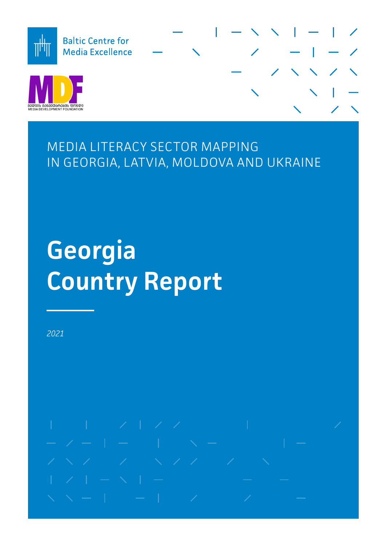

MEDIA LITERACY SECTOR MAPPING IN GEORGIA, LATVIA, MOLDOVA AND UKRAINE

# **Georgia Country Report**

*2021*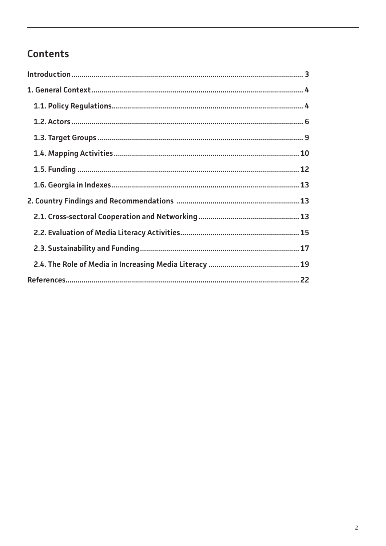# Contents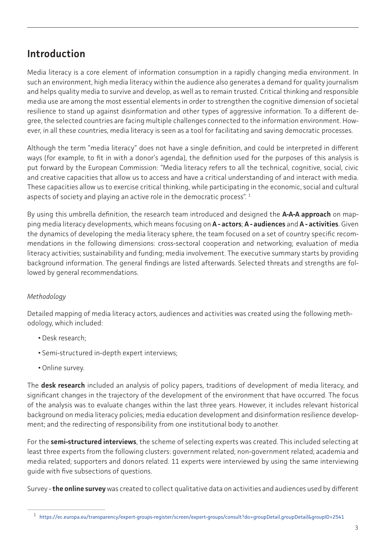# <span id="page-2-0"></span>**Introduction**

Media literacy is a core element of information consumption in a rapidly changing media environment. In such an environment, high media literacy within the audience also generates a demand for quality journalism and helps quality media to survive and develop, as well as to remain trusted. Critical thinking and responsible media use are among the most essential elements in order to strengthen the cognitive dimension of societal resilience to stand up against disinformation and other types of aggressive information. To a different degree, the selected countries are facing multiple challenges connected to the information environment. However, in all these countries, media literacy is seen as a tool for facilitating and saving democratic processes.

Although the term "media literacy" does not have a single definition, and could be interpreted in different ways (for example, to fit in with a donor's agenda), the definition used for the purposes of this analysis is put forward by the European Commission: "Media literacy refers to all the technical, cognitive, social, civic and creative capacities that allow us to access and have a critical understanding of and interact with media. These capacities allow us to exercise critical thinking, while participating in the economic, social and cultural aspects of society and playing an active role in the democratic process".<sup>1</sup>

By using this umbrella definition, the research team introduced and designed the **A-A-A approach** on mapping media literacy developments, which means focusing on **A - actors**; **A - audiences** and **A - activities**. Given the dynamics of developing the media literacy sphere, the team focused on a set of country specific recommendations in the following dimensions: cross-sectoral cooperation and networking; evaluation of media literacy activities; sustainability and funding; media involvement. The executive summary starts by providing background information. The general findings are listed afterwards. Selected threats and strengths are followed by general recommendations.

# *Methodology*

Detailed mapping of media literacy actors, audiences and activities was created using the following methodology, which included:

- Desk research;
- Semi-structured in-depth expert interviews;
- Online survey.

The **desk research** included an analysis of policy papers, traditions of development of media literacy, and significant changes in the trajectory of the development of the environment that have occurred. The focus of the analysis was to evaluate changes within the last three years. However, it includes relevant historical background on media literacy policies; media education development and disinformation resilience development; and the redirecting of responsibility from one institutional body to another.

For the **semi-structured interviews**, the scheme of selecting experts was created. This included selecting at least three experts from the following clusters: government related; non-government related; academia and media related; supporters and donors related. 11 experts were interviewed by using the same interviewing guide with five subsections of questions.

Survey - **the online survey** was created to collect qualitative data on activities and audiences used by different

<sup>1</sup> [https://ec.europa.eu/transparency/expert-groups-register/screen/expert-groups/consult?do=groupDetail.groupDetail&groupID=2541](https://ec.europa.eu/transparency/expert-groups-register/screen/expert-groups/consult?do=groupDetail)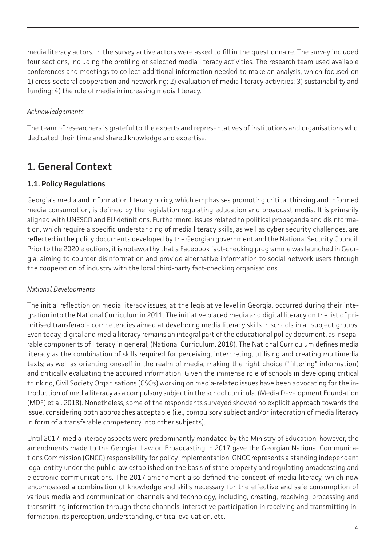<span id="page-3-0"></span>media literacy actors. In the survey active actors were asked to fill in the questionnaire. The survey included four sections, including the profiling of selected media literacy activities. The research team used available conferences and meetings to collect additional information needed to make an analysis, which focused on 1) cross-sectoral cooperation and networking; 2) evaluation of media literacy activities; 3) sustainability and funding; 4) the role of media in increasing media literacy.

#### *Acknowledgements*

The team of researchers is grateful to the experts and representatives of institutions and organisations who dedicated their time and shared knowledge and expertise.

# **1. General Context**

## **1.1. Policy Regulations**

Georgia's media and information literacy policy, which emphasises promoting critical thinking and informed media consumption, is defined by the legislation regulating education and broadcast media. It is primarily aligned with UNESCO and EU definitions. Furthermore, issues related to political propaganda and disinformation, which require a specific understanding of media literacy skills, as well as cyber security challenges, are reflected in the policy documents developed by the Georgian government and the National Security Council. Prior to the 2020 elections, it is noteworthy that a Facebook fact-checking programme was launched in Georgia, aiming to counter disinformation and provide alternative information to social network users through the cooperation of industry with the local third-party fact-checking organisations.

#### *National Developments*

The initial reflection on media literacy issues, at the legislative level in Georgia, occurred during their integration into the National Curriculum in 2011. The initiative placed media and digital literacy on the list of prioritised transferable competencies aimed at developing media literacy skills in schools in all subject groups. Even today, digital and media literacy remains an integral part of the educational policy document, as inseparable components of literacy in general, (National Curriculum, 2018). The National Curriculum defines media literacy as the combination of skills required for perceiving, interpreting, utilising and creating multimedia texts; as well as orienting oneself in the realm of media, making the right choice ("filtering" information) and critically evaluating the acquired information. Given the immense role of schools in developing critical thinking, Civil Society Organisations (CSOs) working on media-related issues have been advocating for the introduction of media literacy as a compulsory subject in the school curricula. (Media Development Foundation (MDF) et al. 2018). Nonetheless, some of the respondents surveyed showed no explicit approach towards the issue, considering both approaches acceptable (i.e., compulsory subject and/or integration of media literacy in form of a transferable competency into other subjects).

Until 2017, media literacy aspects were predominantly mandated by the Ministry of Education, however, the amendments made to the Georgian Law on Broadcasting in 2017 gave the Georgian National Communications Commission (GNCC) responsibility for policy implementation. GNCC represents a standing independent legal entity under the public law established on the basis of state property and regulating broadcasting and electronic communications. The 2017 amendment also defined the concept of media literacy, which now encompassed a combination of knowledge and skills necessary for the effective and safe consumption of various media and communication channels and technology, including; creating, receiving, processing and transmitting information through these channels; interactive participation in receiving and transmitting information, its perception, understanding, critical evaluation, etc.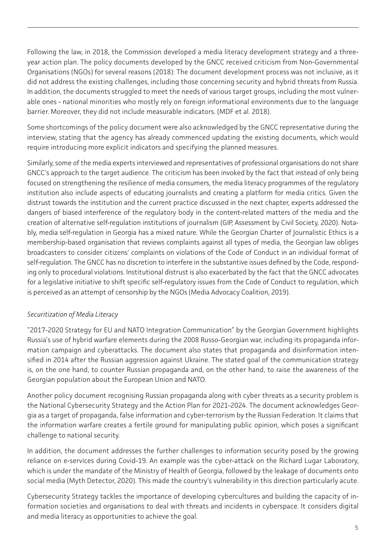Following the law, in 2018, the Commission developed a media literacy development strategy and a threeyear action plan. The policy documents developed by the GNCC received criticism from Non-Governmental Organisations (NGOs) for several reasons (2018): The document development process was not inclusive, as it did not address the existing challenges, including those concerning security and hybrid threats from Russia. In addition, the documents struggled to meet the needs of various target groups, including the most vulnerable ones - national minorities who mostly rely on foreign informational environments due to the language barrier. Moreover, they did not include measurable indicators. (MDF et al. 2018).

Some shortcomings of the policy document were also acknowledged by the GNCC representative during the interview, stating that the agency has already commenced updating the existing documents, which would require introducing more explicit indicators and specifying the planned measures.

Similarly, some of the media experts interviewed and representatives of professional organisations do not share GNCC's approach to the target audience. The criticism has been invoked by the fact that instead of only being focused on strengthening the resilience of media consumers, the media literacy programmes of the regulatory institution also include aspects of educating journalists and creating a platform for media critics. Given the distrust towards the institution and the current practice discussed in the next chapter, experts addressed the dangers of biased interference of the regulatory body in the content-related matters of the media and the creation of alternative self-regulation institutions of journalism (GIP, Assessment by Civil Society, 2020). Notably, media self-regulation in Georgia has a mixed nature. While the Georgian Charter of Journalistic Ethics is a membership-based organisation that reviews complaints against all types of media, the Georgian law obliges broadcasters to consider citizens' complaints on violations of the Code of Conduct in an individual format of self-regulation. The GNCC has no discretion to interfere in the substantive issues defined by the Code, responding only to procedural violations. Institutional distrust is also exacerbated by the fact that the GNCC advocates for a legislative initiative to shift specific self-regulatory issues from the Code of Conduct to regulation, which is perceived as an attempt of censorship by the NGOs (Media Advocacy Coalition, 2019).

## *Securitization of Media Literacy*

"2017-2020 Strategy for EU and NATO Integration Communication" by the Georgian Government highlights Russia's use of hybrid warfare elements during the 2008 Russo-Georgian war, including its propaganda information campaign and cyberattacks. The document also states that propaganda and disinformation intensified in 2014 after the Russian aggression against Ukraine. The stated goal of the communication strategy is, on the one hand, to counter Russian propaganda and, on the other hand, to raise the awareness of the Georgian population about the European Union and NATO.

Another policy document recognising Russian propaganda along with cyber threats as a security problem is the National Cybersecurity Strategy and the Action Plan for 2021-2024. The document acknowledges Georgia as a target of propaganda, false information and cyber-terrorism by the Russian Federation. It claims that the information warfare creates a fertile ground for manipulating public opinion, which poses a significant challenge to national security.

In addition, the document addresses the further challenges to information security posed by the growing reliance on e-services during Covid-19. An example was the cyber-attack on the Richard Lugar Laboratory, which is under the mandate of the Ministry of Health of Georgia, followed by the leakage of documents onto social media (Myth Detector, 2020). This made the country's vulnerability in this direction particularly acute.

Cybersecurity Strategy tackles the importance of developing cybercultures and building the capacity of information societies and organisations to deal with threats and incidents in cyberspace. It considers digital and media literacy as opportunities to achieve the goal.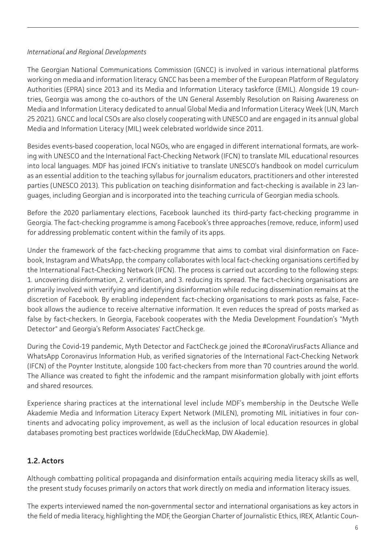#### <span id="page-5-0"></span>*International and Regional Developments*

The Georgian National Communications Commission (GNCC) is involved in various international platforms working on media and information literacy. GNCC has been a member of the European Platform of Regulatory Authorities (EPRA) since 2013 and its Media and Information Literacy taskforce (EMIL). Alongside 19 countries, Georgia was among the co-authors of the UN General Assembly Resolution on Raising Awareness on Media and Information Literacy dedicated to annual Global Media and Information Literacy Week (UN, March 25 2021). GNCC and local CSOs are also closely cooperating with UNESCO and are engaged in its annual global Media and Information Literacy (MIL) week celebrated worldwide since 2011.

Besides events-based cooperation, local NGOs, who are engaged in different international formats, are working with UNESCO and the International Fact-Checking Network (IFCN) to translate MIL educational resources into local languages. MDF has joined IFCN's initiative to translate UNESCO's handbook on model curriculum as an essential addition to the teaching syllabus for journalism educators, practitioners and other interested parties (UNESCO 2013). This publication on teaching disinformation and fact-checking is available in 23 languages, including Georgian and is incorporated into the teaching curricula of Georgian media schools.

Before the 2020 parliamentary elections, Facebook launched its third-party fact-checking programme in Georgia. The fact-checking programme is among Facebook's three approaches (remove, reduce, inform) used for addressing problematic content within the family of its apps.

Under the framework of the fact-checking programme that aims to combat viral disinformation on Facebook, Instagram and WhatsApp, the company collaborates with local fact-checking organisations certified by the International Fact-Checking Network (IFCN). The process is carried out according to the following steps: 1. uncovering disinformation, 2. verification, and 3. reducing its spread. The fact-checking organisations are primarily involved with verifying and identifying disinformation while reducing dissemination remains at the discretion of Facebook. By enabling independent fact-checking organisations to mark posts as false, Facebook allows the audience to receive alternative information. It even reduces the spread of posts marked as false by fact-checkers. In Georgia, Facebook cooperates with the Media Development Foundation's "Myth Detector" and Georgia's Reform Associates' FactCheck.ge.

During the Covid-19 pandemic, Myth Detector and FactCheck.ge joined the #CoronaVirusFacts Alliance and WhatsApp Coronavirus Information Hub, as verified signatories of the International Fact-Checking Network (IFCN) of the Poynter Institute, alongside 100 fact-checkers from more than 70 countries around the world. The Alliance was created to fight the infodemic and the rampant misinformation globally with joint efforts and shared resources.

Experience sharing practices at the international level include MDF's membership in the Deutsche Welle Akademie Media and Information Literacy Expert Network (MILEN), promoting MIL initiatives in four continents and advocating policy improvement, as well as the inclusion of local education resources in global databases promoting best practices worldwide (EduCheckMap, DW Akademie).

# **1.2. Actors**

Although combatting political propaganda and disinformation entails acquiring media literacy skills as well, the present study focuses primarily on actors that work directly on media and information literacy issues.

The experts interviewed named the non-governmental sector and international organisations as key actors in the field of media literacy, highlighting the MDF, the Georgian Charter of Journalistic Ethics, IREX, Atlantic Coun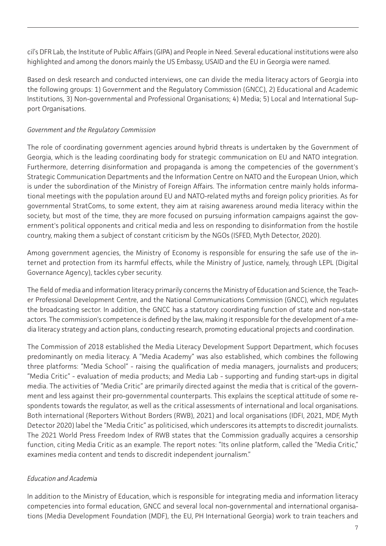cil's DFR Lab, the Institute of Public Affairs (GIPA) and People in Need. Several educational institutions were also highlighted and among the donors mainly the US Embassy, USAID and the EU in Georgia were named.

Based on desk research and conducted interviews, one can divide the media literacy actors of Georgia into the following groups: 1) Government and the Regulatory Commission (GNCC), 2) Educational and Academic Institutions, 3) Non-governmental and Professional Organisations; 4) Media; 5) Local and International Support Organisations.

#### *Government and the Regulatory Commission*

The role of coordinating government agencies around hybrid threats is undertaken by the Government of Georgia, which is the leading coordinating body for strategic communication on EU and NATO integration. Furthermore, deterring disinformation and propaganda is among the competencies of the government's Strategic Communication Departments and the Information Centre on NATO and the European Union, which is under the subordination of the Ministry of Foreign Affairs. The information centre mainly holds informational meetings with the population around EU and NATO-related myths and foreign policy priorities. As for governmental StratComs, to some extent, they aim at raising awareness around media literacy within the society, but most of the time, they are more focused on pursuing information campaigns against the government's political opponents and critical media and less on responding to disinformation from the hostile country, making them a subject of constant criticism by the NGOs (ISFED, Myth Detector, 2020).

Among government agencies, the Ministry of Economy is responsible for ensuring the safe use of the internet and protection from its harmful effects, while the Ministry of Justice, namely, through LEPL (Digital Governance Agency), tackles cyber security.

The field of media and information literacy primarily concerns the Ministry of Education and Science, the Teacher Professional Development Centre, and the National Communications Commission (GNCC), which regulates the broadcasting sector. In addition, the GNCC has a statutory coordinating function of state and non-state actors. The commission's competence is defined by the law, making it responsible for the development of a media literacy strategy and action plans, conducting research, promoting educational projects and coordination.

The Commission of 2018 established the Media Literacy Development Support Department, which focuses predominantly on media literacy. A "Media Academy" was also established, which combines the following three platforms: "Media School" - raising the qualification of media managers, journalists and producers; "Media Critic" - evaluation of media products; and Media Lab - supporting and funding start-ups in digital media. The activities of "Media Critic" are primarily directed against the media that is critical of the government and less against their pro-governmental counterparts. This explains the sceptical attitude of some respondents towards the regulator, as well as the critical assessments of international and local organisations. Both international (Reporters Without Borders (RWB), 2021) and local organisations (IDFI, 2021, MDF, Myth Detector 2020) label the "Media Critic" as politicised, which underscores its attempts to discredit journalists. The 2021 World Press Freedom Index of RWB states that the Commission gradually acquires a censorship function, citing Media Critic as an example. The report notes: "Its online platform, called the "Media Critic," examines media content and tends to discredit independent journalism."

## *Education and Academia*

In addition to the Ministry of Education, which is responsible for integrating media and information literacy competencies into formal education, GNCC and several local non-governmental and international organisations (Media Development Foundation (MDF), the EU, PH International Georgia) work to train teachers and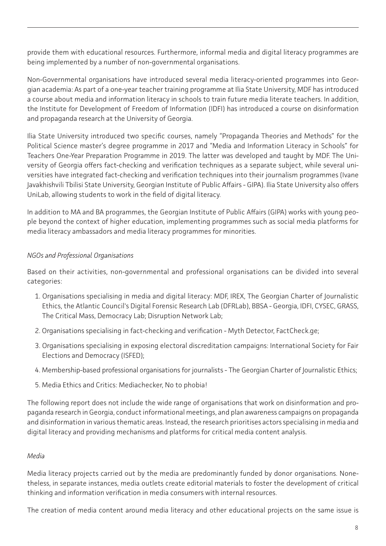provide them with educational resources. Furthermore, informal media and digital literacy programmes are being implemented by a number of non-governmental organisations.

Non-Governmental organisations have introduced several media literacy-oriented programmes into Georgian academia: As part of a one-year teacher training programme at Ilia State University, MDF has introduced a course about media and information literacy in schools to train future media literate teachers. In addition, the Institute for Development of Freedom of Information (IDFI) has introduced a course on disinformation and propaganda research at the University of Georgia.

Ilia State University introduced two specific courses, namely "Propaganda Theories and Methods" for the Political Science master's degree programme in 2017 and "Media and Information Literacy in Schools" for Teachers One-Year Preparation Programme in 2019. The latter was developed and taught by MDF. The University of Georgia offers fact-checking and verification techniques as a separate subject, while several universities have integrated fact-checking and verification techniques into their journalism programmes (Ivane Javakhishvili Tbilisi State University, Georgian Institute of Public Affairs - GIPA). Ilia State University also offers UniLab, allowing students to work in the field of digital literacy.

In addition to MA and BA programmes, the Georgian Institute of Public Affairs (GIPA) works with young people beyond the context of higher education, implementing programmes such as social media platforms for media literacy ambassadors and media literacy programmes for minorities.

#### *NGOs and Professional Organisations*

Based on their activities, non-governmental and professional organisations can be divided into several categories:

- 1. Organisations specialising in media and digital literacy: MDF, IREX, The Georgian Charter of Journalistic Ethics, the Atlantic Council's Digital Forensic Research Lab (DFRLab), BBSA - Georgia, IDFI, CYSEC, GRASS, The Critical Mass, Democracy Lab; Disruption Network Lab;
- 2. Organisations specialising in fact-checking and verification Myth Detector, FactCheck.ge;
- 3. Organisations specialising in exposing electoral discreditation campaigns: International Society for Fair Elections and Democracy (ISFED);
- 4. Membership-based professional organisations for journalists The Georgian Charter of Journalistic Ethics;
- 5. Media Ethics and Critics: Mediachecker, No to phobia!

The following report does not include the wide range of organisations that work on disinformation and propaganda research in Georgia, conduct informational meetings, and plan awareness campaigns on propaganda and disinformation in various thematic areas. Instead, the research prioritises actors specialising in media and digital literacy and providing mechanisms and platforms for critical media content analysis.

#### *Media*

Media literacy projects carried out by the media are predominantly funded by donor organisations. Nonetheless, in separate instances, media outlets create editorial materials to foster the development of critical thinking and information verification in media consumers with internal resources.

The creation of media content around media literacy and other educational projects on the same issue is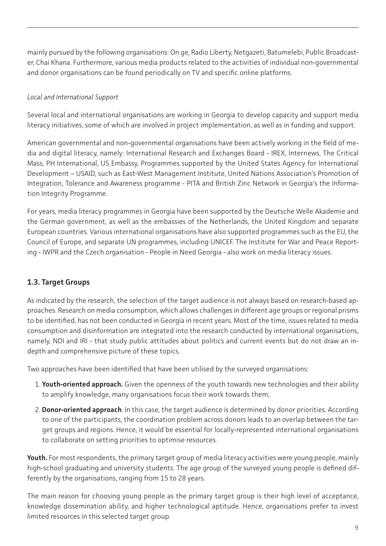<span id="page-8-0"></span>mainly pursued by the following organisations: On.ge, Radio Liberty, Netgazeti, Batumelebi, Public Broadcaster, Chai Khana. Furthermore, various media products related to the activities of individual non-governmental and donor organisations can be found periodically on TV and specific online platforms.

## *Local and International Support*

Several local and international organisations are working in Georgia to develop capacity and support media literacy initiatives, some of which are involved in project implementation, as well as in funding and support.

American governmental and non-governmental organisations have been actively working in the field of media and digital literacy, namely: International Research and Exchanges Board - IREX, Internews, The Critical Mass, PH International, US Embassy, Programmes supported by the United States Agency for International Development – USAID, such as East-West Management Institute, United Nations Association's Promotion of Integration, Tolerance and Awareness programme - PITA and British Zinc Network in Georgia's the Information Integrity Programme.

For years, media literacy programmes in Georgia have been supported by the Deutsche Welle Akademie and the German government, as well as the embassies of the Netherlands, the United Kingdom and separate European countries. Various international organisations have also supported programmes such as the EU, the Council of Europe, and separate UN programmes, including UNICEF. The Institute for War and Peace Reporting - IWPR and the Czech organisation - People in Need Georgia - also work on media literacy issues.

# **1.3. Target Groups**

As indicated by the research, the selection of the target audience is not always based on research-based approaches. Research on media consumption, which allows challenges in different age groups or regional prisms to be identified, has not been conducted in Georgia in recent years. Most of the time, issues related to media consumption and disinformation are integrated into the research conducted by international organisations, namely, NDI and IRI - that study public attitudes about politics and current events but do not draw an indepth and comprehensive picture of these topics.

Two approaches have been identified that have been utilised by the surveyed organisations:

- 1. **Youth-oriented approach.** Given the openness of the youth towards new technologies and their ability to amplify knowledge, many organisations focus their work towards them;
- 2. **Donor-oriented approach**. In this case, the target audience is determined by donor priorities. According to one of the participants, the coordination problem across donors leads to an overlap between the target groups and regions. Hence, it would be essential for locally-represented international organisations to collaborate on setting priorities to optimise resources.

**Youth.** For most respondents, the primary target group of media literacy activities were young people, mainly high-school graduating and university students. The age group of the surveyed young people is defined differently by the organisations, ranging from 15 to 28 years.

The main reason for choosing young people as the primary target group is their high level of acceptance, knowledge dissemination ability, and higher technological aptitude. Hence, organisations prefer to invest limited resources in this selected target group.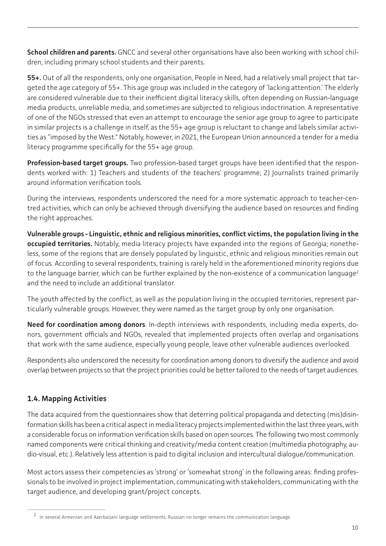<span id="page-9-0"></span>**School children and parents.** GNCC and several other organisations have also been working with school children, including primary school students and their parents.

**55+.** Out of all the respondents, only one organisation, People in Need, had a relatively small project that targeted the age category of 55+. This age group was included in the category of 'lacking attention.' The elderly are considered vulnerable due to their inefficient digital literacy skills, often depending on Russian-language media products, unreliable media, and sometimes are subjected to religious indoctrination. A representative of one of the NGOs stressed that even an attempt to encourage the senior age group to agree to participate in similar projects is a challenge in itself, as the 55+ age group is reluctant to change and labels similar activities as "imposed by the West." Notably, however, in 2021, the European Union announced a tender for a media literacy programme specifically for the 55+ age group.

**Profession-based target groups.** Two profession-based target groups have been identified that the respondents worked with: 1) Teachers and students of the teachers' programme; 2) Journalists trained primarily around information verification tools.

During the interviews, respondents underscored the need for a more systematic approach to teacher-centred activities, which can only be achieved through diversifying the audience based on resources and finding the right approaches.

**Vulnerable groups - Linguistic, ethnic and religious minorities, conflict victims, the population living in the occupied territories.** Notably, media literacy projects have expanded into the regions of Georgia; nonetheless, some of the regions that are densely populated by linguistic, ethnic and religious minorities remain out of focus. According to several respondents, training is rarely held in the aforementioned minority regions due to the language barrier, which can be further explained by the non-existence of a communication language<sup>2</sup> and the need to include an additional translator.

The youth affected by the conflict, as well as the population living in the occupied territories, represent particularly vulnerable groups. However, they were named as the target group by only one organisation.

**Need for coordination among donors**. In-depth interviews with respondents, including media experts, donors, government officials and NGOs, revealed that implemented projects often overlap and organisations that work with the same audience, especially young people, leave other vulnerable audiences overlooked.

Respondents also underscored the necessity for coordination among donors to diversify the audience and avoid overlap between projects so that the project priorities could be better tailored to the needs of target audiences.

# **1.4. Mapping Activities**

The data acquired from the questionnaires show that deterring political propaganda and detecting (mis)disinformation skills has been a critical aspect in media literacy projects implemented within the last three years, with a considerable focus on information verification skills based on open sources. The following two most commonly named components were critical thinking and creativity/media content creation (multimedia photography, audio-visual, etc.). Relatively less attention is paid to digital inclusion and intercultural dialogue/communication.

Most actors assess their competencies as 'strong' or 'somewhat strong' in the following areas: finding professionals to be involved in project implementation, communicating with stakeholders, communicating with the target audience, and developing grant/project concepts.

<sup>&</sup>lt;sup>2</sup> In several Armenian and Azerbaijani language settlements, Russian no longer remains the communication language.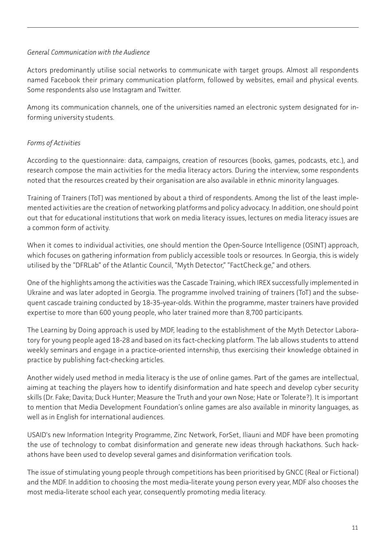#### *General Communication with the Audience*

Actors predominantly utilise social networks to communicate with target groups. Almost all respondents named Facebook their primary communication platform, followed by websites, email and physical events. Some respondents also use Instagram and Twitter.

Among its communication channels, one of the universities named an electronic system designated for informing university students.

## *Forms of Activities*

According to the questionnaire: data, campaigns, creation of resources (books, games, podcasts, etc.), and research compose the main activities for the media literacy actors. During the interview, some respondents noted that the resources created by their organisation are also available in ethnic minority languages.

Training of Trainers (ToT) was mentioned by about a third of respondents. Among the list of the least implemented activities are the creation of networking platforms and policy advocacy. In addition, one should point out that for educational institutions that work on media literacy issues, lectures on media literacy issues are a common form of activity.

When it comes to individual activities, one should mention the Open-Source Intelligence (OSINT) approach, which focuses on gathering information from publicly accessible tools or resources. In Georgia, this is widely utilised by the "DFRLab" of the Atlantic Council, "Myth Detector," "FactCheck.ge," and others.

One of the highlights among the activities was the Cascade Training, which IREX successfully implemented in Ukraine and was later adopted in Georgia. The programme involved training of trainers (ToT) and the subsequent cascade training conducted by 18-35-year-olds. Within the programme, master trainers have provided expertise to more than 600 young people, who later trained more than 8,700 participants.

The Learning by Doing approach is used by MDF, leading to the establishment of the Myth Detector Laboratory for young people aged 18-28 and based on its fact-checking platform. The lab allows students to attend weekly seminars and engage in a practice-oriented internship, thus exercising their knowledge obtained in practice by publishing fact-checking articles.

Another widely used method in media literacy is the use of online games. Part of the games are intellectual, aiming at teaching the players how to identify disinformation and hate speech and develop cyber security skills (Dr. Fake; Davita; Duck Hunter; Measure the Truth and your own Nose; Hate or Tolerate?). It is important to mention that Media Development Foundation's online games are also available in minority languages, as well as in English for international audiences.

USAID's new Information Integrity Programme, Zinc Network, ForSet, Iliauni and MDF have been promoting the use of technology to combat disinformation and generate new ideas through hackathons. Such hackathons have been used to develop several games and disinformation verification tools.

The issue of stimulating young people through competitions has been prioritised by GNCC (Real or Fictional) and the MDF. In addition to choosing the most media-literate young person every year, MDF also chooses the most media-literate school each year, consequently promoting media literacy.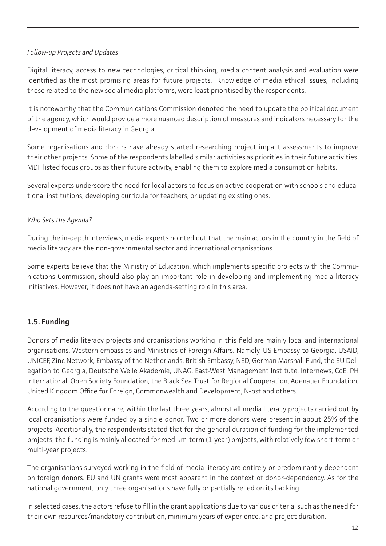#### <span id="page-11-0"></span>*Follow-up Projects and Updates*

Digital literacy, access to new technologies, critical thinking, media content analysis and evaluation were identified as the most promising areas for future projects. Knowledge of media ethical issues, including those related to the new social media platforms, were least prioritised by the respondents.

It is noteworthy that the Communications Commission denoted the need to update the political document of the agency, which would provide a more nuanced description of measures and indicators necessary for the development of media literacy in Georgia.

Some organisations and donors have already started researching project impact assessments to improve their other projects. Some of the respondents labelled similar activities as priorities in their future activities. MDF listed focus groups as their future activity, enabling them to explore media consumption habits.

Several experts underscore the need for local actors to focus on active cooperation with schools and educational institutions, developing curricula for teachers, or updating existing ones.

## *Who Sets the Agenda?*

During the in-depth interviews, media experts pointed out that the main actors in the country in the field of media literacy are the non-governmental sector and international organisations.

Some experts believe that the Ministry of Education, which implements specific projects with the Communications Commission, should also play an important role in developing and implementing media literacy initiatives. However, it does not have an agenda-setting role in this area.

# **1.5. Funding**

Donors of media literacy projects and organisations working in this field are mainly local and international organisations, Western embassies and Ministries of Foreign Affairs. Namely, US Embassy to Georgia, USAID, UNICEF, Zinc Network, Embassy of the Netherlands, British Embassy, NED, German Marshall Fund, the EU Delegation to Georgia, Deutsche Welle Akademie, UNAG, East-West Management Institute, Internews, CoE, PH International, Open Society Foundation, the Black Sea Trust for Regional Cooperation, Adenauer Foundation, United Kingdom Office for Foreign, Commonwealth and Development, N-ost and others.

According to the questionnaire, within the last three years, almost all media literacy projects carried out by local organisations were funded by a single donor. Two or more donors were present in about 25% of the projects. Additionally, the respondents stated that for the general duration of funding for the implemented projects, the funding is mainly allocated for medium-term (1-year) projects, with relatively few short-term or multi-year projects.

The organisations surveyed working in the field of media literacy are entirely or predominantly dependent on foreign donors. EU and UN grants were most apparent in the context of donor-dependency. As for the national government, only three organisations have fully or partially relied on its backing.

In selected cases, the actors refuse to fill in the grant applications due to various criteria, such as the need for their own resources/mandatory contribution, minimum years of experience, and project duration.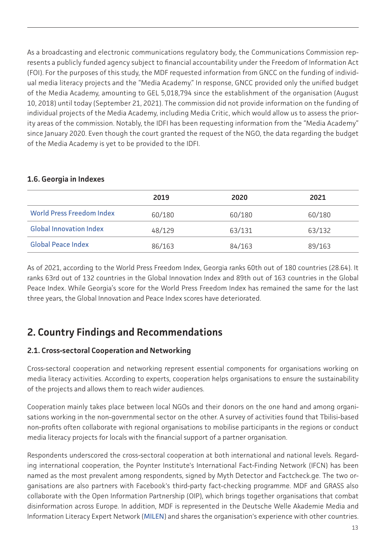<span id="page-12-0"></span>As a broadcasting and electronic communications regulatory body, the Communications Commission represents a publicly funded agency subject to financial accountability under the Freedom of Information Act (FOI). For the purposes of this study, the MDF requested information from GNCC on the funding of individual media literacy projects and the "Media Academy." In response, GNCC provided only the unified budget of the Media Academy, amounting to GEL 5,018,794 since the establishment of the organisation (August 10, 2018) until today (September 21, 2021). The commission did not provide information on the funding of individual projects of the Media Academy, including Media Critic, which would allow us to assess the priority areas of the commission. Notably, the IDFI has been requesting information from the "Media Academy" since January 2020. Even though the court granted the request of the NGO, the data regarding the budget of the Media Academy is yet to be provided to the IDFI.

|                                  | 2019   | 2020   | 2021   |
|----------------------------------|--------|--------|--------|
| <b>World Press Freedom Index</b> | 60/180 | 60/180 | 60/180 |
| <b>Global Innovation Index</b>   | 48/129 | 63/131 | 63/132 |
| <b>Global Peace Index</b>        | 86/163 | 84/163 | 89/163 |

#### **1.6. Georgia in Indexes**

As of 2021, according to the World Press Freedom Index, Georgia ranks 60th out of 180 countries (28.64). It ranks 63rd out of 132 countries in the Global Innovation Index and 89th out of 163 countries in the Global Peace Index. While Georgia's score for the World Press Freedom Index has remained the same for the last three years, the Global Innovation and Peace Index scores have deteriorated.

# **2. Country Findings and Recommendations**

# **2.1. Cross-sectoral Cooperation and Networking**

Cross-sectoral cooperation and networking represent essential components for organisations working on media literacy activities. According to experts, cooperation helps organisations to ensure the sustainability of the projects and allows them to reach wider audiences.

Cooperation mainly takes place between local NGOs and their donors on the one hand and among organisations working in the non-governmental sector on the other. A survey of activities found that Tbilisi-based non-profits often collaborate with regional organisations to mobilise participants in the regions or conduct media literacy projects for locals with the financial support of a partner organisation.

Respondents underscored the cross-sectoral cooperation at both international and national levels. Regarding international cooperation, the Poynter Institute's International Fact-Finding Network (IFCN) has been named as the most prevalent among respondents, signed by Myth Detector and Factcheck.ge. The two organisations are also partners with Facebook's third-party fact-checking programme. MDF and GRASS also collaborate with the Open Information Partnership (OIP), which brings together organisations that combat disinformation across Europe. In addition, MDF is represented in the Deutsche Welle Akademie Media and Information Literacy Expert Network ([MILEN](https://www.dw.com/en/dw-akademie/milen/s-45533421)) and shares the organisation's experience with other countries.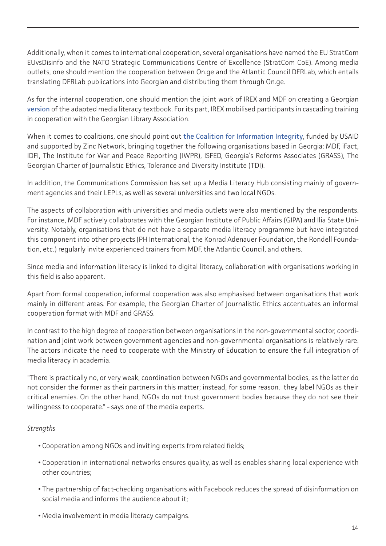Additionally, when it comes to international cooperation, several organisations have named the EU StratCom EUvsDisinfo and the NATO Strategic Communications Centre of Excellence (StratCom CoE). Among media outlets, one should mention the cooperation between On.ge and the Atlantic Council DFRLab, which entails translating DFRLab publications into Georgian and distributing them through On.ge.

As for the internal cooperation, one should mention the joint work of IREX and MDF on creating a Georgian [version](https://www.irex.org/sites/default/files/node/resource/learn-to-discern-media-literacy-curriculum-georgia-preview-2.pdf) of the adapted media literacy textbook. For its part, IREX mobilised participants in cascading training in cooperation with the Georgian Library Association.

When it comes to coalitions, one should point out [the Coalition for Information Integrity](https://www.facebook.com/infointegritycoalition), funded by USAID and supported by Zinc Network, bringing together the following organisations based in Georgia: MDF, iFact, IDFI, The Institute for War and Peace Reporting (IWPR), ISFED, Georgia's Reforms Associates (GRASS), The Georgian Charter of Journalistic Ethics, Tolerance and Diversity Institute (TDI).

In addition, the Communications Commission has set up a Media Literacy Hub consisting mainly of government agencies and their LEPLs, as well as several universities and two local NGOs.

The aspects of collaboration with universities and media outlets were also mentioned by the respondents. For instance, MDF actively collaborates with the Georgian Institute of Public Affairs (GIPA) and Ilia State University. Notably, organisations that do not have a separate media literacy programme but have integrated this component into other projects (PH International, the Konrad Adenauer Foundation, the Rondell Foundation, etc.) regularly invite experienced trainers from MDF, the Atlantic Council, and others.

Since media and information literacy is linked to digital literacy, collaboration with organisations working in this field is also apparent.

Apart from formal cooperation, informal cooperation was also emphasised between organisations that work mainly in different areas. For example, the Georgian Charter of Journalistic Ethics accentuates an informal cooperation format with MDF and GRASS.

In contrast to the high degree of cooperation between organisations in the non-governmental sector, coordination and joint work between government agencies and non-governmental organisations is relatively rare. The actors indicate the need to cooperate with the Ministry of Education to ensure the full integration of media literacy in academia.

"There is practically no, or very weak, coordination between NGOs and governmental bodies, as the latter do not consider the former as their partners in this matter; instead, for some reason, they label NGOs as their critical enemies. On the other hand, NGOs do not trust government bodies because they do not see their willingness to cooperate." - says one of the media experts.

#### *Strengths*

- Cooperation among NGOs and inviting experts from related fields;
- Cooperation in international networks ensures quality, as well as enables sharing local experience with other countries;
- The partnership of fact-checking organisations with Facebook reduces the spread of disinformation on social media and informs the audience about it;
- Media involvement in media literacy campaigns.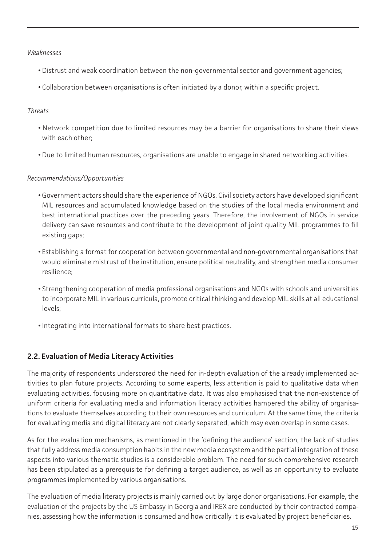#### <span id="page-14-0"></span>*Weaknesses*

- Distrust and weak coordination between the non-governmental sector and government agencies;
- Collaboration between organisations is often initiated by a donor, within a specific project.

#### *Threats*

- Network competition due to limited resources may be a barrier for organisations to share their views with each other;
- Due to limited human resources, organisations are unable to engage in shared networking activities.

## *Recommendations/Opportunities*

- Government actors should share the experience of NGOs. Civil society actors have developed significant MIL resources and accumulated knowledge based on the studies of the local media environment and best international practices over the preceding years. Therefore, the involvement of NGOs in service delivery can save resources and contribute to the development of joint quality MIL programmes to fill existing gaps;
- Establishing a format for cooperation between governmental and non-governmental organisations that would eliminate mistrust of the institution, ensure political neutrality, and strengthen media consumer resilience;
- Strengthening cooperation of media professional organisations and NGOs with schools and universities to incorporate MIL in various curricula, promote critical thinking and develop MIL skills at all educational levels;
- Integrating into international formats to share best practices.

# **2.2. Evaluation of Media Literacy Activities**

The majority of respondents underscored the need for in-depth evaluation of the already implemented activities to plan future projects. According to some experts, less attention is paid to qualitative data when evaluating activities, focusing more on quantitative data. It was also emphasised that the non-existence of uniform criteria for evaluating media and information literacy activities hampered the ability of organisations to evaluate themselves according to their own resources and curriculum. At the same time, the criteria for evaluating media and digital literacy are not clearly separated, which may even overlap in some cases.

As for the evaluation mechanisms, as mentioned in the 'defining the audience' section, the lack of studies that fully address media consumption habits in the new media ecosystem and the partial integration of these aspects into various thematic studies is a considerable problem. The need for such comprehensive research has been stipulated as a prerequisite for defining a target audience, as well as an opportunity to evaluate programmes implemented by various organisations.

The evaluation of media literacy projects is mainly carried out by large donor organisations. For example, the evaluation of the projects by the US Embassy in Georgia and IREX are conducted by their contracted companies, assessing how the information is consumed and how critically it is evaluated by project beneficiaries.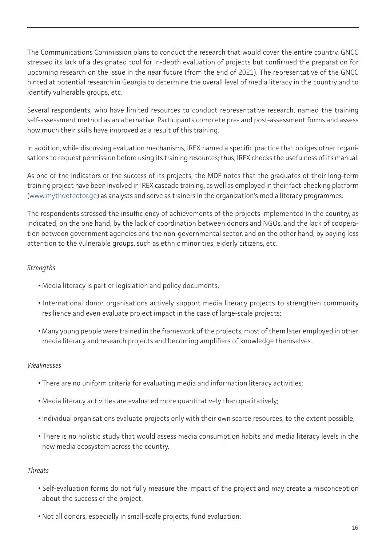The Communications Commission plans to conduct the research that would cover the entire country. GNCC stressed its lack of a designated tool for in-depth evaluation of projects but confirmed the preparation for upcoming research on the issue in the near future (from the end of 2021). The representative of the GNCC hinted at potential research in Georgia to determine the overall level of media literacy in the country and to identify vulnerable groups, etc.

Several respondents, who have limited resources to conduct representative research, named the training self-assessment method as an alternative. Participants complete pre- and post-assessment forms and assess how much their skills have improved as a result of this training.

In addition, while discussing evaluation mechanisms, IREX named a specific practice that obliges other organisations to request permission before using its training resources; thus, IREX checks the usefulness of its manual.

As one of the indicators of the success of its projects, the MDF notes that the graduates of their long-term training project have been involved in IREX cascade training, as well as employed in their fact-checking platform [\(www.mythdetector.ge](https://www.mythdetector.ge)) as analysts and serve as trainers in the organization's media literacy programmes.

The respondents stressed the insufficiency of achievements of the projects implemented in the country, as indicated, on the one hand, by the lack of coordination between donors and NGOs, and the lack of cooperation between government agencies and the non-governmental sector, and on the other hand, by paying less attention to the vulnerable groups, such as ethnic minorities, elderly citizens, etc.

#### *Strengths*

- Media literacy is part of legislation and policy documents;
- International donor organisations actively support media literacy projects to strengthen community resilience and even evaluate project impact in the case of large-scale projects;
- Many young people were trained in the framework of the projects, most of them later employed in other media literacy and research projects and becoming amplifiers of knowledge themselves.

#### *Weaknesses*

- There are no uniform criteria for evaluating media and information literacy activities;
- Media literacy activities are evaluated more quantitatively than qualitatively;
- Individual organisations evaluate projects only with their own scarce resources, to the extent possible;
- There is no holistic study that would assess media consumption habits and media literacy levels in the new media ecosystem across the country.

#### *Threats*

- Self-evaluation forms do not fully measure the impact of the project and may create a misconception about the success of the project;
- Not all donors, especially in small-scale projects, fund evaluation;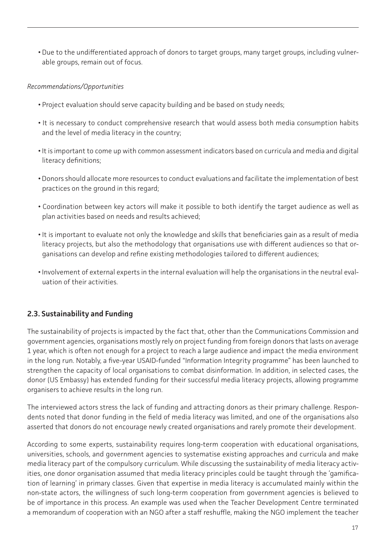<span id="page-16-0"></span>**•** Due to the undifferentiated approach of donors to target groups, many target groups, including vulnerable groups, remain out of focus.

#### *Recommendations/Opportunities*

- Project evaluation should serve capacity building and be based on study needs;
- It is necessary to conduct comprehensive research that would assess both media consumption habits and the level of media literacy in the country;
- It is important to come up with common assessment indicators based on curricula and media and digital literacy definitions;
- Donors should allocate more resources to conduct evaluations and facilitate the implementation of best practices on the ground in this regard;
- Coordination between key actors will make it possible to both identify the target audience as well as plan activities based on needs and results achieved;
- It is important to evaluate not only the knowledge and skills that beneficiaries gain as a result of media literacy projects, but also the methodology that organisations use with different audiences so that organisations can develop and refine existing methodologies tailored to different audiences;
- Involvement of external experts in the internal evaluation will help the organisations in the neutral evaluation of their activities.

# **2.3. Sustainability and Funding**

The sustainability of projects is impacted by the fact that, other than the Communications Commission and government agencies, organisations mostly rely on project funding from foreign donors that lasts on average 1 year, which is often not enough for a project to reach a large audience and impact the media environment in the long run. Notably, a five-year USAID-funded "Information Integrity programme" has been launched to strengthen the capacity of local organisations to combat disinformation. In addition, in selected cases, the donor (US Embassy) has extended funding for their successful media literacy projects, allowing programme organisers to achieve results in the long run.

The interviewed actors stress the lack of funding and attracting donors as their primary challenge. Respondents noted that donor funding in the field of media literacy was limited, and one of the organisations also asserted that donors do not encourage newly created organisations and rarely promote their development.

According to some experts, sustainability requires long-term cooperation with educational organisations, universities, schools, and government agencies to systematise existing approaches and curricula and make media literacy part of the compulsory curriculum. While discussing the sustainability of media literacy activities, one donor organisation assumed that media literacy principles could be taught through the 'gamification of learning' in primary classes. Given that expertise in media literacy is accumulated mainly within the non-state actors, the willingness of such long-term cooperation from government agencies is believed to be of importance in this process. An example was used when the Teacher Development Centre terminated a memorandum of cooperation with an NGO after a staff reshuffle, making the NGO implement the teacher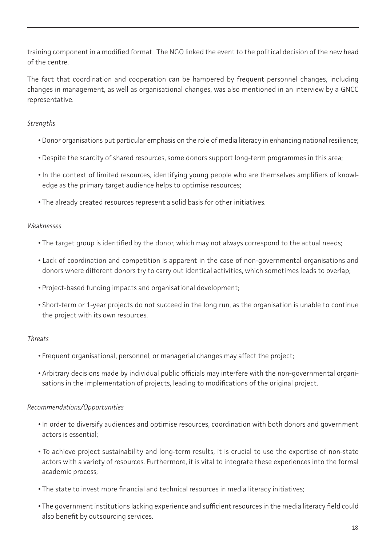training component in a modified format. The NGO linked the event to the political decision of the new head of the centre.

The fact that coordination and cooperation can be hampered by frequent personnel changes, including changes in management, as well as organisational changes, was also mentioned in an interview by a GNCC representative.

#### *Strengths*

- Donor organisations put particular emphasis on the role of media literacy in enhancing national resilience;
- Despite the scarcity of shared resources, some donors support long-term programmes in this area;
- In the context of limited resources, identifying young people who are themselves amplifiers of knowledge as the primary target audience helps to optimise resources;
- The already created resources represent a solid basis for other initiatives.

#### *Weaknesses*

- The target group is identified by the donor, which may not always correspond to the actual needs;
- Lack of coordination and competition is apparent in the case of non-governmental organisations and donors where different donors try to carry out identical activities, which sometimes leads to overlap;
- Project-based funding impacts and organisational development;
- Short-term or 1-year projects do not succeed in the long run, as the organisation is unable to continue the project with its own resources.

#### *Threats*

- Frequent organisational, personnel, or managerial changes may affect the project;
- Arbitrary decisions made by individual public officials may interfere with the non-governmental organisations in the implementation of projects, leading to modifications of the original project.

#### *Recommendations/Opportunities*

- In order to diversify audiences and optimise resources, coordination with both donors and government actors is essential;
- To achieve project sustainability and long-term results, it is crucial to use the expertise of non-state actors with a variety of resources. Furthermore, it is vital to integrate these experiences into the formal academic process;
- The state to invest more financial and technical resources in media literacy initiatives;
- The government institutions lacking experience and sufficient resources in the media literacy field could also benefit by outsourcing services.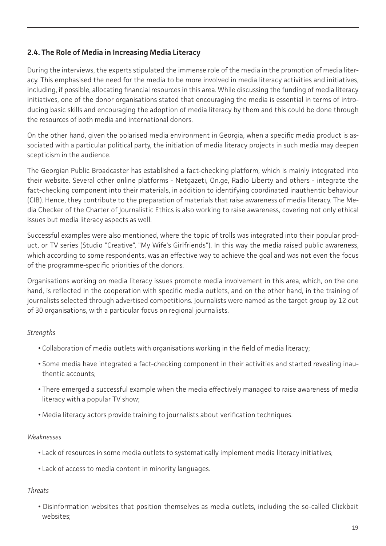# <span id="page-18-0"></span>**2.4. The Role of Media in Increasing Media Literacy**

During the interviews, the experts stipulated the immense role of the media in the promotion of media literacy. This emphasised the need for the media to be more involved in media literacy activities and initiatives, including, if possible, allocating financial resources in this area. While discussing the funding of media literacy initiatives, one of the donor organisations stated that encouraging the media is essential in terms of introducing basic skills and encouraging the adoption of media literacy by them and this could be done through the resources of both media and international donors.

On the other hand, given the polarised media environment in Georgia, when a specific media product is associated with a particular political party, the initiation of media literacy projects in such media may deepen scepticism in the audience.

The Georgian Public Broadcaster has established a fact-checking platform, which is mainly integrated into their website. Several other online platforms - Netgazeti, On.ge, Radio Liberty and others - integrate the fact-checking component into their materials, in addition to identifying coordinated inauthentic behaviour (CIB). Hence, they contribute to the preparation of materials that raise awareness of media literacy. The Media Checker of the Charter of Journalistic Ethics is also working to raise awareness, covering not only ethical issues but media literacy aspects as well.

Successful examples were also mentioned, where the topic of trolls was integrated into their popular product, or TV series (Studio "Creative", "My Wife's Girlfriends"). In this way the media raised public awareness, which according to some respondents, was an effective way to achieve the goal and was not even the focus of the programme-specific priorities of the donors.

Organisations working on media literacy issues promote media involvement in this area, which, on the one hand, is reflected in the cooperation with specific media outlets, and on the other hand, in the training of journalists selected through advertised competitions. Journalists were named as the target group by 12 out of 30 organisations, with a particular focus on regional journalists.

#### *Strengths*

- Collaboration of media outlets with organisations working in the field of media literacy;
- Some media have integrated a fact-checking component in their activities and started revealing inauthentic accounts;
- There emerged a successful example when the media effectively managed to raise awareness of media literacy with a popular TV show;
- Media literacy actors provide training to journalists about verification techniques.

#### *Weaknesses*

- Lack of resources in some media outlets to systematically implement media literacy initiatives;
- Lack of access to media content in minority languages.

#### *Threats*

**•** Disinformation websites that position themselves as media outlets, including the so-called Clickbait websites;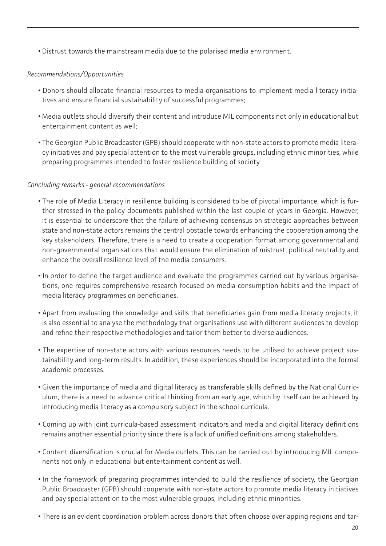**•** Distrust towards the mainstream media due to the polarised media environment.

#### *Recommendations/Opportunities*

- Donors should allocate financial resources to media organisations to implement media literacy initiatives and ensure financial sustainability of successful programmes;
- Media outlets should diversify their content and introduce MIL components not only in educational but entertainment content as well;
- The Georgian Public Broadcaster (GPB) should cooperate with non-state actors to promote media literacy initiatives and pay special attention to the most vulnerable groups, including ethnic minorities, while preparing programmes intended to foster resilience building of society.

#### *Concluding remarks - general recommendations*

- The role of Media Literacy in resilience building is considered to be of pivotal importance, which is further stressed in the policy documents published within the last couple of years in Georgia. However, it is essential to underscore that the failure of achieving consensus on strategic approaches between state and non-state actors remains the central obstacle towards enhancing the cooperation among the key stakeholders. Therefore, there is a need to create a cooperation format among governmental and non-governmental organisations that would ensure the elimination of mistrust, political neutrality and enhance the overall resilience level of the media consumers.
- In order to define the target audience and evaluate the programmes carried out by various organisations, one requires comprehensive research focused on media consumption habits and the impact of media literacy programmes on beneficiaries.
- Apart from evaluating the knowledge and skills that beneficiaries gain from media literacy projects, it is also essential to analyse the methodology that organisations use with different audiences to develop and refine their respective methodologies and tailor them better to diverse audiences.
- The expertise of non-state actors with various resources needs to be utilised to achieve project sustainability and long-term results. In addition, these experiences should be incorporated into the formal academic processes.
- Given the importance of media and digital literacy as transferable skills defined by the National Curriculum, there is a need to advance critical thinking from an early age, which by itself can be achieved by introducing media literacy as a compulsory subject in the school curricula.
- Coming up with joint curricula-based assessment indicators and media and digital literacy definitions remains another essential priority since there is a lack of unified definitions among stakeholders.
- Content diversification is crucial for Media outlets. This can be carried out by introducing MIL components not only in educational but entertainment content as well.
- In the framework of preparing programmes intended to build the resilience of society, the Georgian Public Broadcaster (GPB) should cooperate with non-state actors to promote media literacy initiatives and pay special attention to the most vulnerable groups, including ethnic minorities.
- There is an evident coordination problem across donors that often choose overlapping regions and tar-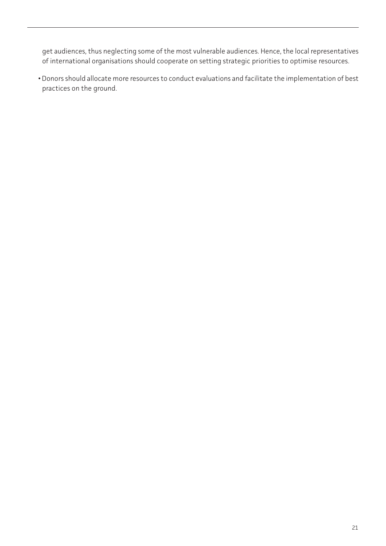get audiences, thus neglecting some of the most vulnerable audiences. Hence, the local representatives of international organisations should cooperate on setting strategic priorities to optimise resources.

**•** Donors should allocate more resources to conduct evaluations and facilitate the implementation of best practices on the ground.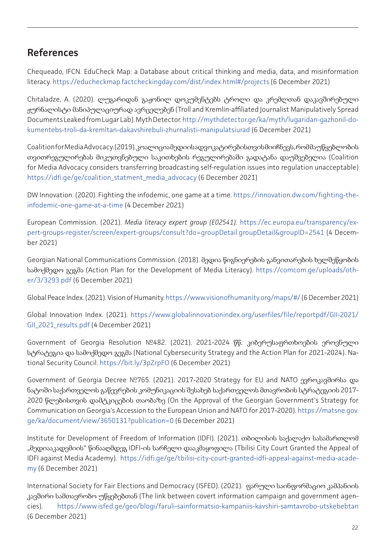# <span id="page-21-0"></span>**References**

Chequeado, IFCN. EduCheck Map: a Database about critical thinking and media, data, and misinformation literacy. [https://educheckmap.factcheckingday.com/dist/index.html#/projects](https://educheckmap.factcheckingday.com/dist/index.html#/projects ) (6 December 2021)

Chitaladze, A. (2020). ლუგარიდან გაჟონილ დოკუმენტებს ტროლი და კრემლთან დაკავშირებული ჟურნალისტი მანიპულაციურად ავრცელებენ (Troll and Kremlin-affiliated Journalist Manipulatively Spread Documents Leaked from Lugar Lab). Myth Detector.[http://mythdetector.ge/ka/myth/lugaridan-gazhonil-do](http://mythdetector.ge/ka/myth/lugaridan-gazhonil-dokumentebs-troli-da-kremltan-dakavshirebuli-zhurn)[kumentebs-troli-da-kremltan-dakavshirebuli-zhurnalisti-manipulatsiurad](http://mythdetector.ge/ka/myth/lugaridan-gazhonil-dokumentebs-troli-da-kremltan-dakavshirebuli-zhurn) (6 December 2021)

Coalition for Media Advocacy. (2019). კოალიცია მედიის ადვოკატირებისთვის მიიჩნევს, რომ მაუწყებლობის თვითრეგულირებას მიკუთვნებული საკითხების რეგულირებაში გადატანა დაუშვებელია (Coalition for Media Advocacy considers transferring broadcasting self-regulation issues into regulation unacceptable) [https://idfi.ge/ge/coalition\\_statment\\_media\\_advocacy](ttps://idfi.ge/ge/coalition_statment_media_advocacy) (6 December 2021)

DW Innovation. (2020). Fighting the infodemic, one game at a time. [https://innovation.dw.com/fighting-the](https://innovation.dw.com/fighting-the-infodemic-one-game-at-a-time)[infodemic-one-game-at-a-time](https://innovation.dw.com/fighting-the-infodemic-one-game-at-a-time) (4 December 2021)

European Commission. (2021). *Media literacy expert group (E02541)*. [https://ec.europa.eu/transparency/ex](https://ec.europa.eu/transparency/expert-groups-register/screen/expert-groups/consult?do=groupDetail)[pert-groups-register/screen/expert-groups/consult?do=groupDetail.groupDetail&groupID=2541](https://ec.europa.eu/transparency/expert-groups-register/screen/expert-groups/consult?do=groupDetail) (4 December 2021)

Georgian National Communications Commission. (2018). მედია წიგნიერების განვითარების ხელშეწყობის სამოქმედო გეგმა (Action Plan for the Development of Media Literacy). [https://comcom.ge/uploads/oth](https://comcom.ge/uploads/other/3/3293.pdf)[er/3/3293.pdf](https://comcom.ge/uploads/other/3/3293.pdf) (6 December 2021)

Global Peace Index. (2021). Vision of Humanity.<https://www.visionofhumanity.org/maps/#/> (6 December 2021)

Global Innovation Index. (2021). [https://www.globalinnovationindex.org/userfiles/file/reportpdf/GII-2021/](https://www.globalinnovationindex.org/userfiles/file/reportpdf/GII-2021/GII_2021_results.pdf) [GII\\_2021\\_results.pdf](https://www.globalinnovationindex.org/userfiles/file/reportpdf/GII-2021/GII_2021_results.pdf) (4 December 2021)

Government of Georgia Resolution №482. (2021). 2021-2024 წწ. კიბერუსაფრთხოების ეროვნული სტრატეგია და სამოქმედო გეგმა (National Cybersecurity Strategy and the Action Plan for 2021-2024). National Security Council. <https://bit.ly/3pZrpFO> (6 December 2021)

Government of Georgia Decree №765. (2021). 2017-2020 Strategy for EU and NATO ევროკავშირსა და ნატოში საქართველოს გაწევრების კომუნიკაციის შესახებ საქართველოს მთავრობის სტრატეგიის 2017- 2020 წლებისთვის დამტკიცების თაობაზე (On the Approval of the Georgian Government's Strategy for Communication on Georgia's Accession to the European Union and NATO for 2017-2020). [https://matsne.gov.](https://matsne.gov.ge/ka/document/view/3650131?publication=0) [ge/ka/document/view/3650131?publication=0](https://matsne.gov.ge/ka/document/view/3650131?publication=0) (6 December 2021)

Institute for Development of Freedom of Information (IDFI). (2021). თბილისის საქალაქო სასამართლომ "მედიააკადემიის" წინააღმდეგ IDFI-ის სარჩელი დააკმაყოფილა (Tbilisi City Court Granted the Appeal of IDFI against Media Academy). [https://idfi.ge/ge/tbilisi-city-court-granted-idfi-appeal-against-media-acade](https://idfi.ge/ge/tbilisi-city-court-granted-idfi-appeal-against-media-academy)[my](https://idfi.ge/ge/tbilisi-city-court-granted-idfi-appeal-against-media-academy) (6 December 2021)

International Society for Fair Elections and Democracy (ISFED). (2021). ფარული საინფორმაციო კამპანიის კავშირი სამთავრობო უწყებებთან (The link between covert information campaign and government agencies). <https://www.isfed.ge/geo/blogi/faruli-sainformatsio-kampaniis-kavshiri-samtavrobo-utskebebtan> (6 December 2021)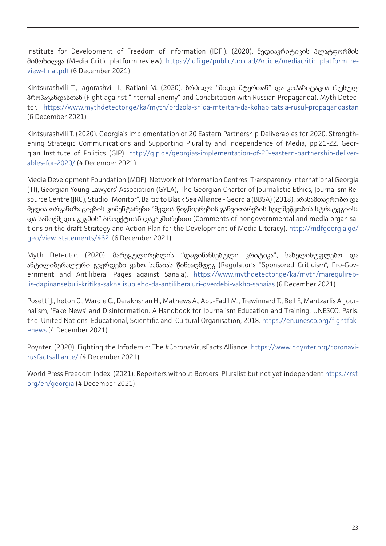Institute for Development of Freedom of Information (IDFI). (2020). მედიაკრიტიკის პლატფორმის მიმოხილვა (Media Critic platform review). [https://idfi.ge/public/upload/Article/mediacritic\\_platform\\_re](https://idfi.ge/public/upload/Article/mediacritic_platform_review-final.pdf)[view-final.pdf](https://idfi.ge/public/upload/Article/mediacritic_platform_review-final.pdf) (6 December 2021)

Kintsurashvili T., Iagorashvili I., Ratiani M. (2020). ბრძოლა "შიდა მტერთან" და კოჰაბიტაცია რუსულ პროპაგანდასთან (Fight against "Internal Enemy" and Cohabitation with Russian Propaganda). Myth Detector. <https://www.mythdetector.ge/ka/myth/brdzola-shida-mtertan-da-kohabitatsia-rusul-propagandastan> (6 December 2021)

Kintsurashvili T. (2020). Georgia's Implementation of 20 Eastern Partnership Deliverables for 2020. Strengthening Strategic Communications and Supporting Plurality and Independence of Media, pp.21-22. Georgian Institute of Politics (GIP). [http://gip.ge/georgias-implementation-of-20-eastern-partnership-deliver](http://gip.ge/georgias-implementation-of-20-eastern-partnership-deliverables-for-2020/)[ables-for-2020/](http://gip.ge/georgias-implementation-of-20-eastern-partnership-deliverables-for-2020/) (4 December 2021)

Media Development Foundation (MDF), Network of Information Centres, Transparency International Georgia (TI), Georgian Young Lawyers' Association (GYLA), The Georgian Charter of Journalistic Ethics, Journalism Resource Centre (JRC), Studio "Monitor", Baltic to Black Sea Alliance - Georgia (BBSA) (2018). არასამთავრობო და მედია ორგანიზაციების კომენტარები "მედია წიგნიერების განვითარების ხელშეწყობის სტრატეგიისა და სამოქმედო გეგმის" პროექტთან დაკავშირებით (Comments of nongovernmental and media organisations on the draft Strategy and Action Plan for the Development of Media Literacy). [http://mdfgeorgia.ge/](http://mdfgeorgia.ge/geo/view_statements/462) [geo/view\\_statements/462](http://mdfgeorgia.ge/geo/view_statements/462) (6 December 2021)

Myth Detector. (2020). მარეგულირებლის "დაფინანსებული კრიტიკა", სახელისუფლებო და ანტილიბერალური გვერდები ვახო სანაიას წინააღმდეგ (Regulator's "Sponsored Criticism", Pro-Government and Antiliberal Pages against Sanaia). [https://www.mythdetector.ge/ka/myth/maregulireb](https://www.mythdetector.ge/ka/myth/maregulireblis-dapinansebuli-kritika-sakhelisuplebo-da-antiliber)[lis-dapinansebuli-kritika-sakhelisuplebo-da-antiliberaluri-gverdebi-vakho-sanaias](https://www.mythdetector.ge/ka/myth/maregulireblis-dapinansebuli-kritika-sakhelisuplebo-da-antiliber) (6 December 2021)

Posetti J., Ireton C., Wardle C., Derakhshan H., Mathews A., Abu-Fadil M., Trewinnard T., Bell F., Mantzarlis A. Journalism, 'Fake News' and Disinformation: A Handbook for Journalism Education and Training. UNESCO. Paris: the United Nations Educational, Scientific and Cultural Organisation, 2018. [https://en.unesco.org/fightfak](https://en.unesco.org/fightfakenews)[enews](https://en.unesco.org/fightfakenews) (4 December 2021)

Poynter. (2020). Fighting the Infodemic: The #CoronaVirusFacts Alliance. [https://www.poynter.org/coronavi](https://www.poynter.org/coronavirusfactsalliance/)[rusfactsalliance/](https://www.poynter.org/coronavirusfactsalliance/) (4 December 2021)

World Press Freedom Index. (2021). Reporters without Borders: Pluralist but not yet independent [https://rsf.](https://rsf.org/en/georgia) [org/en/georgia](https://rsf.org/en/georgia) (4 December 2021)